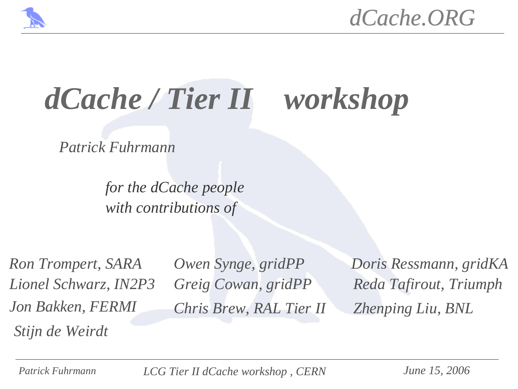

# *dCache / Tier II workshop*

*Patrick Fuhrmann*

*for the dCache people with contributions of*

*Ron Trompert, SARA Lionel Schwarz, IN2P3 Jon Bakken, FERMI Stijn de Weirdt*

*Owen Synge, gridPP Greig Cowan, gridPP Chris Brew, RAL Tier II* *Doris Ressmann, gridKA Reda Tafirout, Triumph Zhenping Liu, BNL*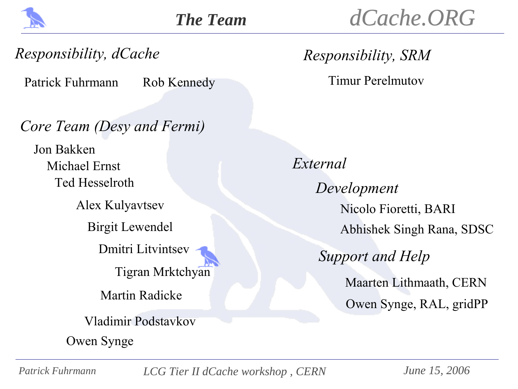

#### *Responsibility, dCache*

Patrick Fuhrmann Rob Kennedy Timur Perelmutov

#### *Core Team (Desy and Fermi)*

Ted Hesselroth Jon Bakken Michael Ernst

> Birgit Lewendel Alex Kulyavtsev

> > Dmitri Litvintsev

Tigran Mrktchyan

Martin Radicke

Vladimir Podstavkov

Owen Synge

*Responsibility, SRM*

*External* Nicolo Fioretti, BARI Owen Synge, RAL, gridPP Maarten Lithmaath, CERN Abhishek Singh Rana, SDSC *Development Support and Help*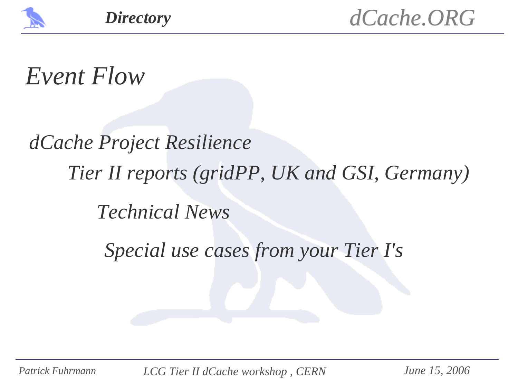

### *Event Flow*

# *dCache Project Resilience Technical News Special use cases from your Tier I's Tier II reports (gridPP, UK and GSI, Germany)*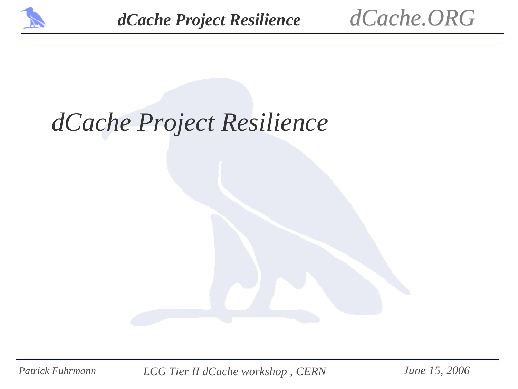



### *dCache Project Resilience*

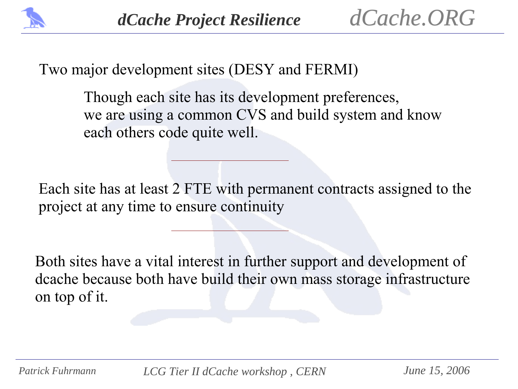

Two major development sites (DESY and FERMI)

Though each site has its development preferences, we are using a common CVS and build system and know each others code quite well.

Each site has at least 2 FTE with permanent contracts assigned to the project at any time to ensure continuity

Both sites have a vital interest in further support and development of dcache because both have build their own mass storage infrastructure on top of it.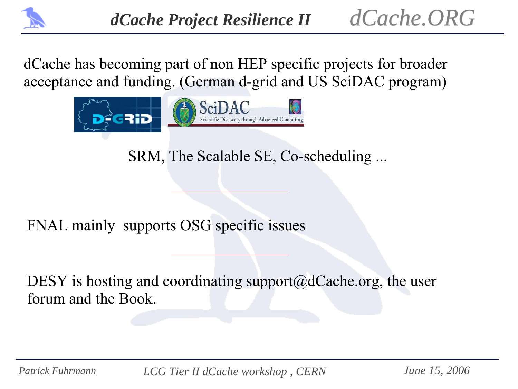

dCache has becoming part of non HEP specific projects for broader acceptance and funding. (German d-grid and US SciDAC program)



SRM, The Scalable SE, Co-scheduling ...

FNAL mainly supports OSG specific issues

DESY is hosting and coordinating support $(\omega d$  Cache.org, the user forum and the Book.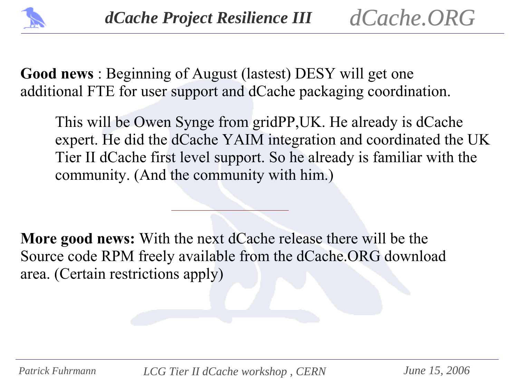

**Good news** : Beginning of August (lastest) DESY will get one additional FTE for user support and dCache packaging coordination.

This will be Owen Synge from gridPP,UK. He already is dCache expert. He did the dCache YAIM integration and coordinated the UK Tier II dCache first level support. So he already is familiar with the community. (And the community with him.)

**More good news:** With the next dCache release there will be the Source code RPM freely available from the dCache.ORG download area. (Certain restrictions apply)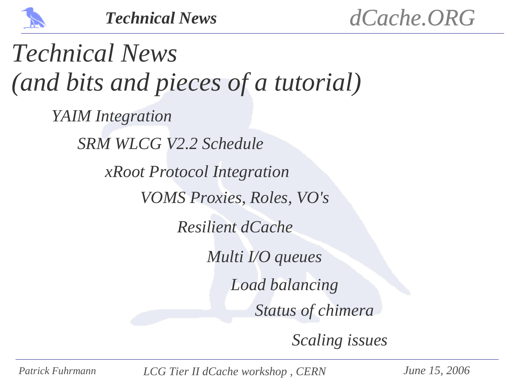

*Technical News (and bits and pieces of a tutorial) YAIM Integration SRM WLCG V2.2 Schedule xRoot Protocol Integration VOMS Proxies, Roles, VO's Resilient dCache Multi I/O queues Status of chimera Load balancing*

*Scaling issues*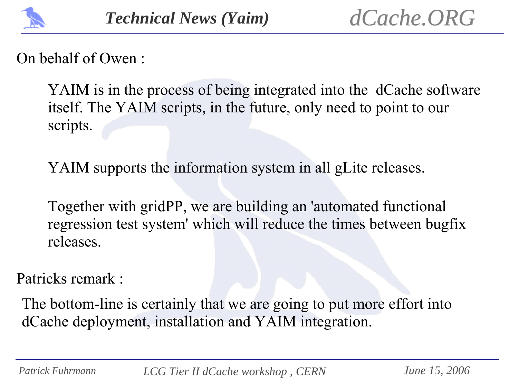

On behalf of Owen :

YAIM is in the process of being integrated into the dCache software itself. The YAIM scripts, in the future, only need to point to our scripts.

YAIM supports the information system in all gLite releases.

Together with gridPP, we are building an 'automated functional regression test system' which will reduce the times between bugfix releases.

Patricks remark :

The bottom-line is certainly that we are going to put more effort into dCache deployment, installation and YAIM integration.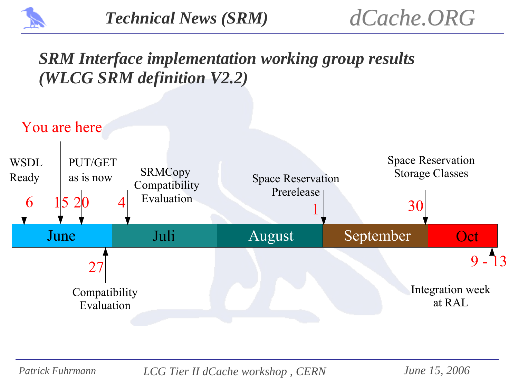

#### *SRM Interface implementation working group results (WLCG SRM definition V2.2)*

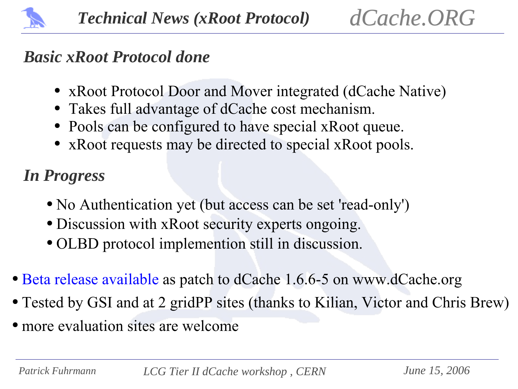

#### *Basic xRoot Protocol done*

- xRoot Protocol Door and Mover integrated (dCache Native)
- Takes full advantage of dCache cost mechanism.
- Pools can be configured to have special xRoot queue.
- xRoot requests may be directed to special xRoot pools.

### *In Progress*

- No Authentication yet (but access can be set 'read-only')
- Discussion with xRoot security experts ongoing.
- OLBD protocol implemention still in discussion.
- Beta release available as patch to dCache 1.6.6-5 on www.dCache.org
- Tested by GSI and at 2 gridPP sites (thanks to Kilian, Victor and Chris Brew)
- more evaluation sites are welcome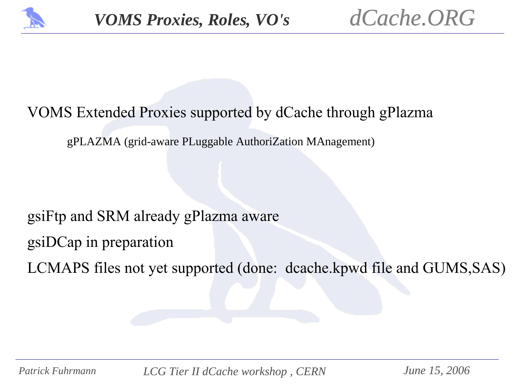

#### VOMS Extended Proxies supported by dCache through gPlazma

gPLAZMA (grid-aware PLuggable AuthoriZation MAnagement)

#### gsiFtp and SRM already gPlazma aware

gsiDCap in preparation

LCMAPS files not yet supported (done: dcache.kpwd file and GUMS,SAS)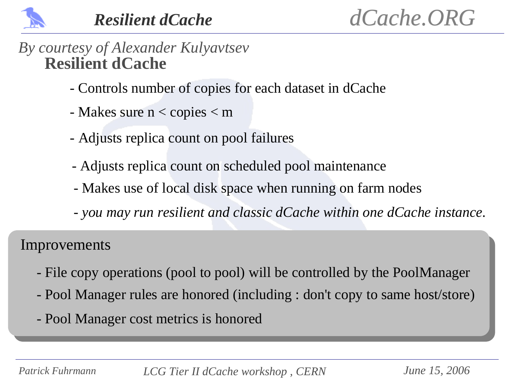

#### *By courtesy of Alexander Kulyavtsev* **Resilient dCache**

- Controls number of copies for each dataset in dCache
- Makes sure n < copies < m
- Adjusts replica count on pool failures
- Adjusts replica count on scheduled pool maintenance
- Makes use of local disk space when running on farm nodes
- *- you may run resilient and classic dCache within one dCache instance.*

Improvements

- File copy operations (pool to pool) will be controlled by the PoolManager
- Pool Manager rules are honored (including : don't copy to same host/store)
- Pool Manager cost metrics is honored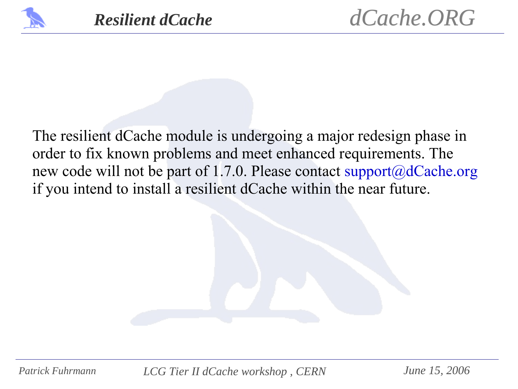

The resilient dCache module is undergoing a major redesign phase in order to fix known problems and meet enhanced requirements. The new code will not be part of 1.7.0. Please contact support@dCache.org if you intend to install a resilient dCache within the near future.

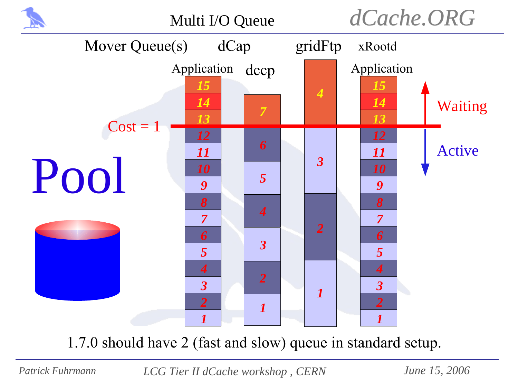

1.7.0 should have 2 (fast and slow) queue in standard setup.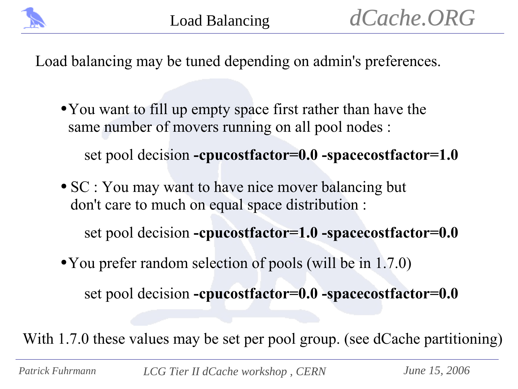

Load balancing may be tuned depending on admin's preferences.

● You want to fill up empty space first rather than have the same number of movers running on all pool nodes :

set pool decision **-cpucostfactor=0.0 -spacecostfactor=1.0**

• SC : You may want to have nice mover balancing but don't care to much on equal space distribution :

set pool decision **-cpucostfactor=1.0 -spacecostfactor=0.0**

• You prefer random selection of pools (will be in 1.7.0)

set pool decision **-cpucostfactor=0.0 -spacecostfactor=0.0**

With 1.7.0 these values may be set per pool group. (see dCache partitioning)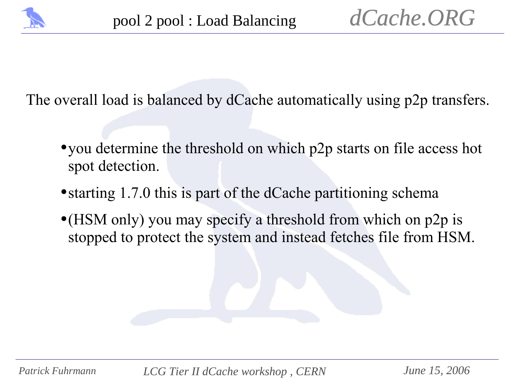

The overall load is balanced by dCache automatically using p2p transfers.

- you determine the threshold on which p2p starts on file access hot spot detection.
- starting 1.7.0 this is part of the dCache partitioning schema
- (HSM only) you may specify a threshold from which on p2p is stopped to protect the system and instead fetches file from HSM.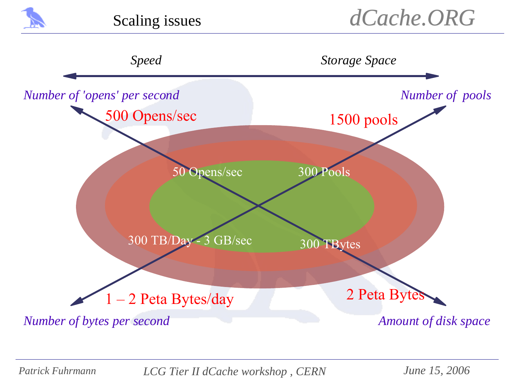

Scaling issues

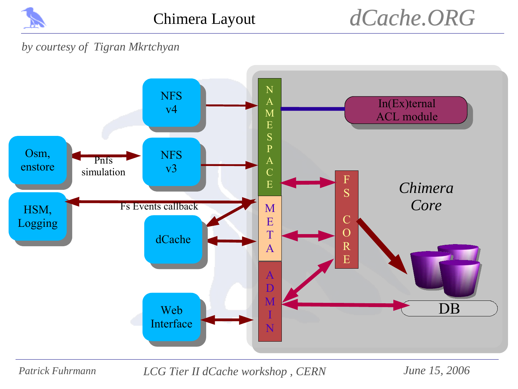

### *dCache.ORG*

#### *by courtesy of Tigran Mkrtchyan*

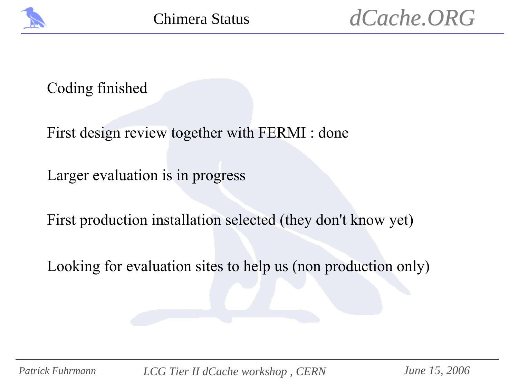

#### Coding finished

First design review together with FERMI : done

Larger evaluation is in progress

First production installation selected (they don't know yet)

Looking for evaluation sites to help us (non production only)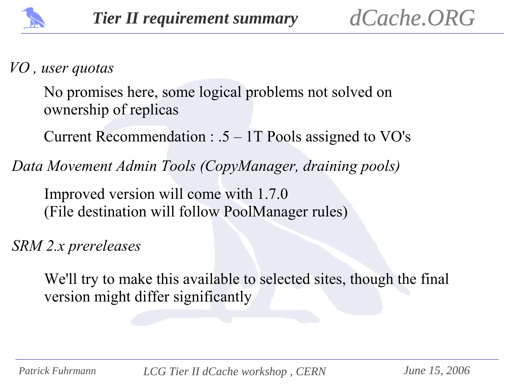

#### *VO , user quotas*

No promises here, some logical problems not solved on ownership of replicas

Current Recommendation : .5 – 1T Pools assigned to VO's

*Data Movement Admin Tools (CopyManager, draining pools)*

Improved version will come with 1.7.0 (File destination will follow PoolManager rules)

*SRM 2.x prereleases*

We'll try to make this available to selected sites, though the final version might differ significantly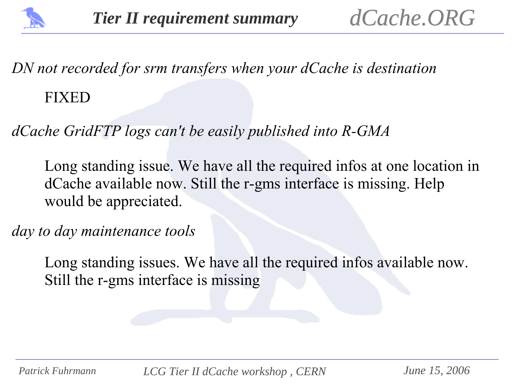

*DN not recorded for srm transfers when your dCache is destination*

#### FIXED

*dCache GridFTP logs can't be easily published into R-GMA*

Long standing issue. We have all the required infos at one location in dCache available now. Still the r-gms interface is missing. Help would be appreciated.

*day to day maintenance tools* 

Long standing issues. We have all the required infos available now. Still the r-gms interface is missing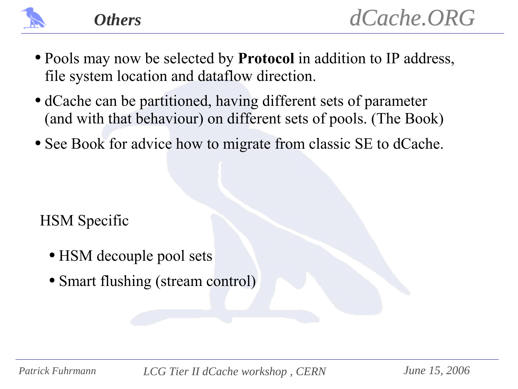

*Others*

- Pools may now be selected by **Protocol** in addition to IP address, file system location and dataflow direction.
- dCache can be partitioned, having different sets of parameter (and with that behaviour) on different sets of pools. (The Book)
- See Book for advice how to migrate from classic SE to dCache.

HSM Specific

- HSM decouple pool sets
- Smart flushing (stream control)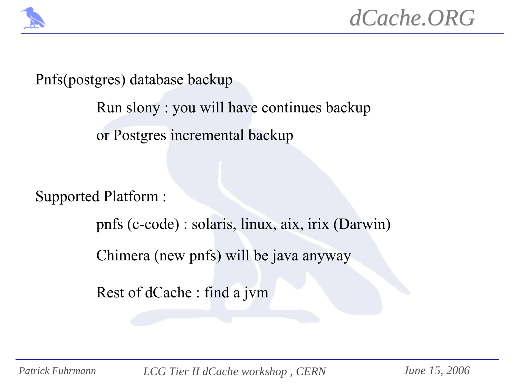

Pnfs(postgres) database backup

Run slony : you will have continues backup or Postgres incremental backup

Supported Platform :

pnfs (c-code) : solaris, linux, aix, irix (Darwin)

Chimera (new pnfs) will be java anyway

Rest of dCache : find a jvm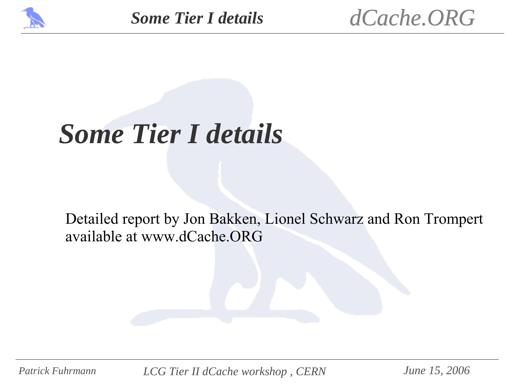



## *Some Tier I details*

#### Detailed report by Jon Bakken, Lionel Schwarz and Ron Trompert available at www.dCache.ORG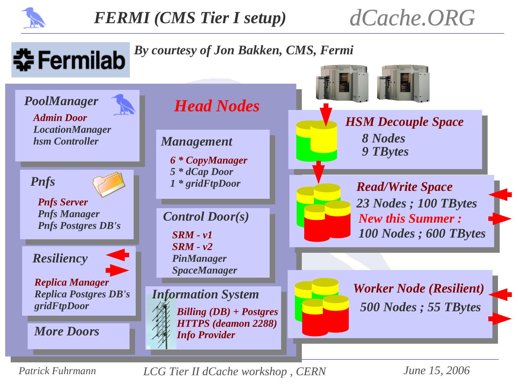

*dCache.ORG*

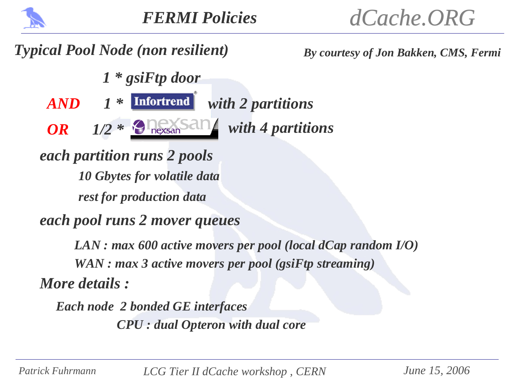

#### *Typical Pool Node (non resilient) By courtesy of Jon Bakken, CMS, Fermi*

*1 \* gsiFtp door*

*AND* 1 \* **Infortrend** with 2 partitions

*OR*  $1/2$  \*  $\Theta$   $\log_{\theta}$  san with 4 partitions

*each partition runs 2 pools 10 Gbytes for volatile data rest for production data*

*each pool runs 2 mover queues*

*LAN : max 600 active movers per pool (local dCap random I/O) WAN : max 3 active movers per pool (gsiFtp streaming) More details :*

*Each node 2 bonded GE interfaces CPU : dual Opteron with dual core*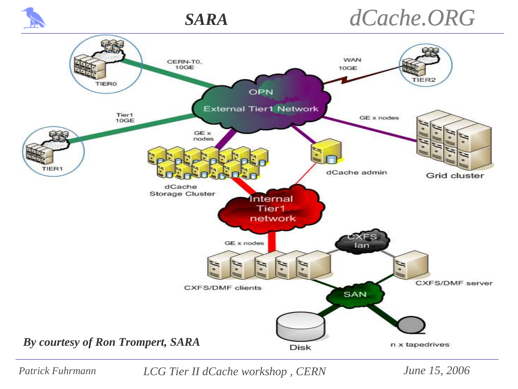



### *dCache.ORG*

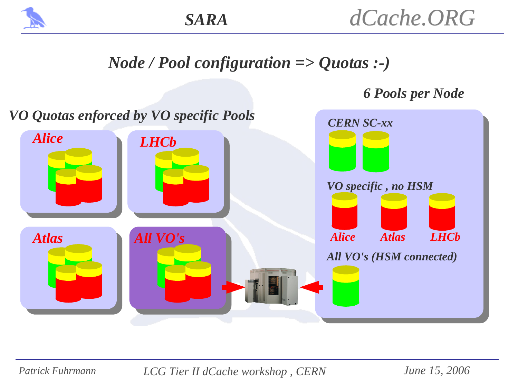

#### *Node / Pool configuration => Quotas :-)*

#### *6 Pools per Node*

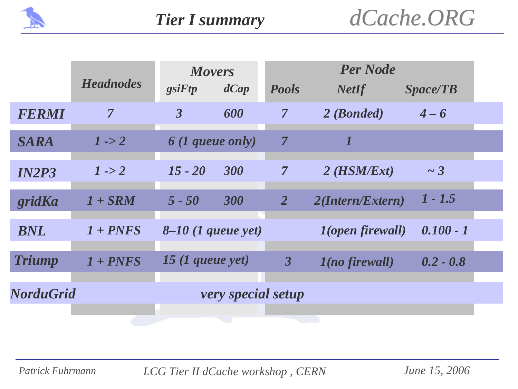

|                                        | <b>Headnodes</b> | <b>Movers</b><br>$gs$ i $Ftp$<br>dCap |     | <b>Per Node</b><br><b>Pools</b><br><b>NetIf</b><br><i>Space/TB</i> |                                |             |  |
|----------------------------------------|------------------|---------------------------------------|-----|--------------------------------------------------------------------|--------------------------------|-------------|--|
| FERMI                                  | $\overline{7}$   | $\overline{\mathbf{3}}$               | 600 | $\overline{7}$                                                     | 2 (Bonded)                     | $4 - 6$     |  |
| <b>SARA</b>                            | $1 - > 2$        | <b>6</b> (1 queue only)               |     | $\overline{7}$                                                     |                                |             |  |
| <b>IN2P3</b>                           | $1 - > 2$        | $15 - 20$                             | 300 | $\overline{7}$                                                     | $2$ (HSM/Ext)                  | $\sim$ 3    |  |
| gridKa                                 | $1 + SRM$        | $5 - 50$                              | 300 | $\overline{2}$                                                     | 2(Intern/Extern)               | $1 - 1.5$   |  |
| <b>BNL</b>                             | $1 + PNFS$       | $8-10$ (1 queue yet)                  |     |                                                                    | <i><b>1(open firewall)</b></i> | $0.100 - 1$ |  |
| <b>Triump</b>                          | $1 + PNFS$       | $15$ (1 queue yet)                    |     | $\mathbf{3}$                                                       | $1$ (no firewall)              | $0.2 - 0.8$ |  |
| <b>NorduGrid</b><br>very special setup |                  |                                       |     |                                                                    |                                |             |  |
|                                        |                  |                                       |     |                                                                    |                                |             |  |